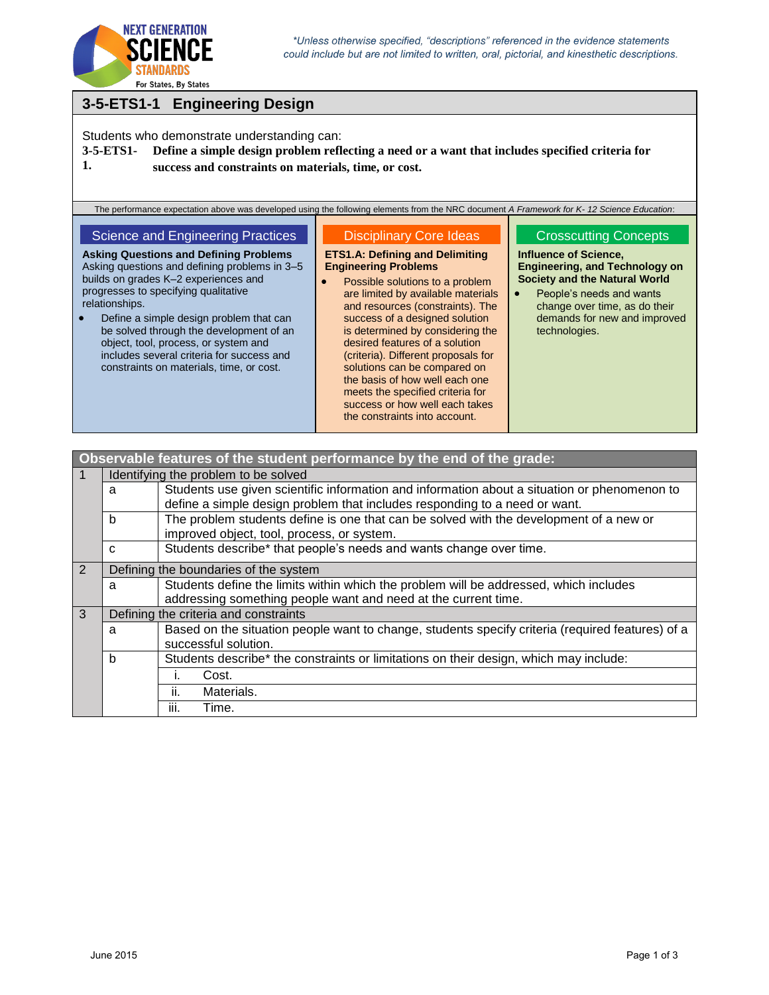

progresses to specifying qualitative

 Define a simple design problem that can be solved through the development of an object, tool, process, or system and includes several criteria for success and constraints on materials, time, or cost.

relationships.

# **3-5-ETS1-1 Engineering Design**

Students who demonstrate understanding can:

**3-5-ETS1- 1. Define a simple design problem reflecting a need or a want that includes specified criteria for success and constraints on materials, time, or cost.**

The performance expectation above was developed using the following elements from the NRC document *A Framework for K- 12 Science Education*:

#### Science and Engineering Practices Disciplinary Core Ideas

**Asking Questions and Defining Problems** Asking questions and defining problems in 3–5 builds on grades K–2 experiences and **ETS1.A: Defining and Delimiting Engineering Problems** Possible solutions to a problem

are limited by available materials and resources (constraints). The success of a designed solution is determined by considering the desired features of a solution (criteria). Different proposals for solutions can be compared on the basis of how well each one meets the specified criteria for success or how well each takes the constraints into account.

### Crosscutting Concepts

**Influence of Science, Engineering, and Technology on Society and the Natural World**

• People's needs and wants change over time, as do their demands for new and improved technologies.

| Observable features of the student performance by the end of the grade: |                                       |                                                                                                  |  |  |  |
|-------------------------------------------------------------------------|---------------------------------------|--------------------------------------------------------------------------------------------------|--|--|--|
| $\mathbf 1$                                                             | Identifying the problem to be solved  |                                                                                                  |  |  |  |
|                                                                         | a                                     | Students use given scientific information and information about a situation or phenomenon to     |  |  |  |
|                                                                         |                                       | define a simple design problem that includes responding to a need or want.                       |  |  |  |
|                                                                         | b                                     | The problem students define is one that can be solved with the development of a new or           |  |  |  |
|                                                                         |                                       | improved object, tool, process, or system.                                                       |  |  |  |
|                                                                         | C                                     | Students describe* that people's needs and wants change over time.                               |  |  |  |
| 2                                                                       | Defining the boundaries of the system |                                                                                                  |  |  |  |
|                                                                         | a                                     | Students define the limits within which the problem will be addressed, which includes            |  |  |  |
|                                                                         |                                       | addressing something people want and need at the current time.                                   |  |  |  |
| 3                                                                       | Defining the criteria and constraints |                                                                                                  |  |  |  |
|                                                                         | a                                     | Based on the situation people want to change, students specify criteria (required features) of a |  |  |  |
|                                                                         |                                       | successful solution.                                                                             |  |  |  |
|                                                                         | b                                     | Students describe* the constraints or limitations on their design, which may include:            |  |  |  |
|                                                                         |                                       | Cost.                                                                                            |  |  |  |
|                                                                         |                                       | ii.<br>Materials.                                                                                |  |  |  |
|                                                                         |                                       | Time.<br>Ш.                                                                                      |  |  |  |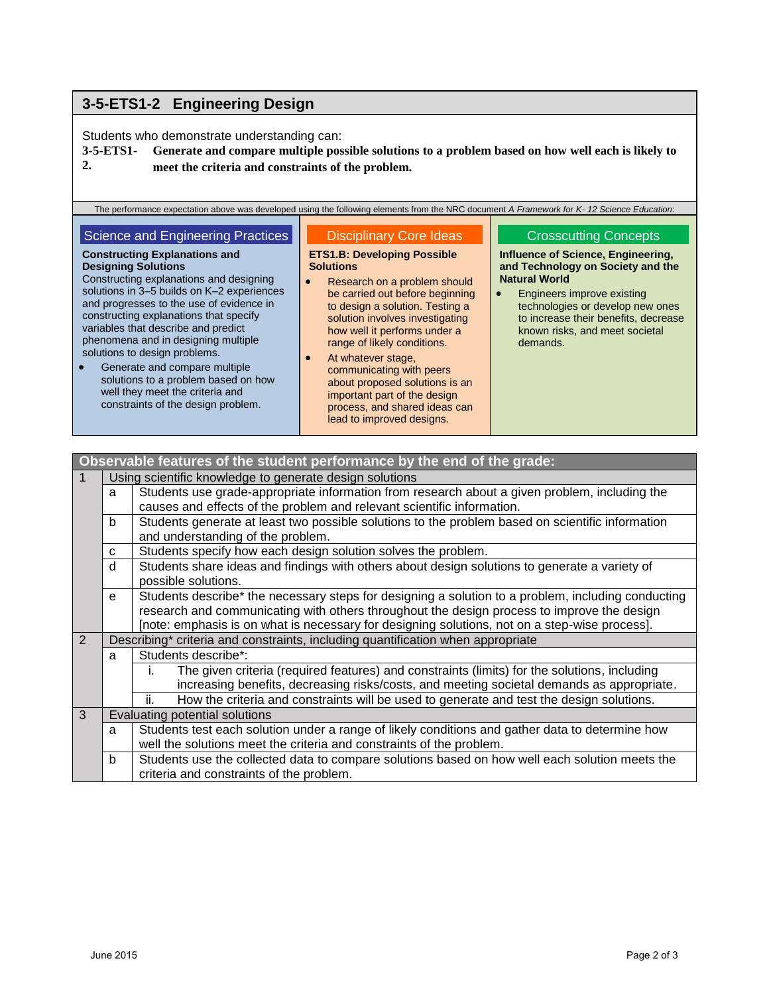## **3-5-ETS1-2 Engineering Design**

Students who demonstrate understanding can:

**3-5-ETS1- 2. Generate and compare multiple possible solutions to a problem based on how well each is likely to meet the criteria and constraints of the problem.**

The performance expectation above was developed using the following elements from the NRC document *A Framework for K- 12 Science Education*:

#### Science and Engineering Practices **Constructing Explanations and Designing Solutions** Constructing explanations and designing solutions in 3–5 builds on K–2 experiences and progresses to the use of evidence in constructing explanations that specify variables that describe and predict phenomena and in designing multiple solutions to design problems. **•** Generate and compare multiple solutions to a problem based on how well they meet the criteria and constraints of the design problem. Disciplinary Core Ideas **ETS1.B: Developing Possible Solutions** Research on a problem should be carried out before beginning to design a solution. Testing a solution involves investigating how well it performs under a range of likely conditions. At whatever stage, communicating with peers about proposed solutions is an important part of the design process, and shared ideas can Crosscutting Concepts **Influence of Science, Engineering, and Technology on Society and the Natural World Engineers improve existing** technologies or develop new ones to increase their benefits, decrease known risks, and meet societal demands.

lead to improved designs.

#### **Observable features of the student performance by the end of the grade:** 1 Using scientific knowledge to generate design solutions a Students use grade-appropriate information from research about a given problem, including the causes and effects of the problem and relevant scientific information. b Students generate at least two possible solutions to the problem based on scientific information and understanding of the problem.  $c$  Students specify how each design solution solves the problem. d | Students share ideas and findings with others about design solutions to generate a variety of possible solutions. e Students describe\* the necessary steps for designing a solution to a problem, including conducting research and communicating with others throughout the design process to improve the design [note: emphasis is on what is necessary for designing solutions, not on a step-wise process]. 2 Describing\* criteria and constraints, including quantification when appropriate a | Students describe\*: i. The given criteria (required features) and constraints (limits) for the solutions, including increasing benefits, decreasing risks/costs, and meeting societal demands as appropriate. ii. How the criteria and constraints will be used to generate and test the design solutions. 3 Evaluating potential solutions a | Students test each solution under a range of likely conditions and gather data to determine how well the solutions meet the criteria and constraints of the problem. b Students use the collected data to compare solutions based on how well each solution meets the criteria and constraints of the problem.